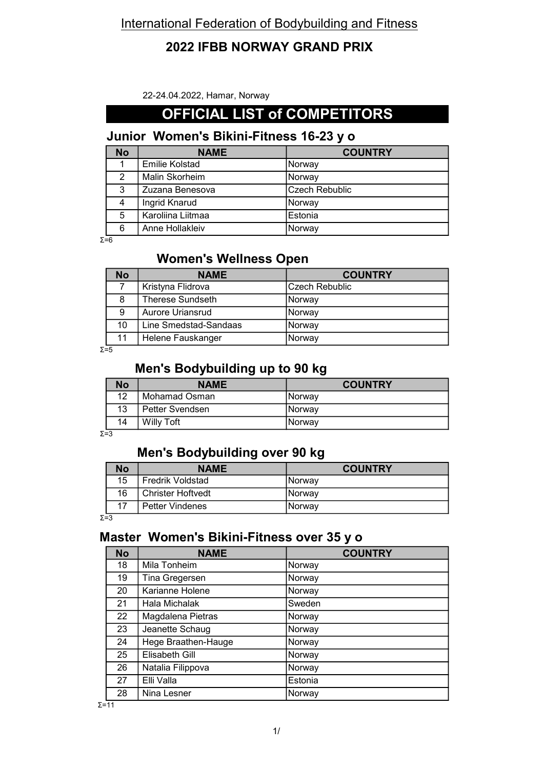#### 2022 IFBB NORWAY GRAND PRIX

22-24.04.2022, Hamar, Norway

#### OFFICIAL LIST of COMPETITORS

# Junior Women's Bikini-Fitness 16-23 y o

| <b>No</b> | <b>NAME</b>       | <b>COUNTRY</b> |
|-----------|-------------------|----------------|
|           | Emilie Kolstad    | Norway         |
| 2         | Malin Skorheim    | Norway         |
| 3         | Zuzana Benesova   | Czech Rebublic |
| 4         | Ingrid Knarud     | Norway         |
| 5         | Karoliina Liitmaa | Estonia        |
| 6         | Anne Hollakleiv   | Norway         |

Σ=6

#### Women's Wellness Open

| <b>No</b> | <b>NAME</b>             | <b>COUNTRY</b> |
|-----------|-------------------------|----------------|
|           | Kristyna Flidrova       | Czech Rebublic |
| 8         | <b>Therese Sundseth</b> | Norwav         |
| 9         | Aurore Uriansrud        | <b>Norway</b>  |
| 10        | Line Smedstad-Sandaas   | Norway         |
| 11        | Helene Fauskanger       | Norway         |

 $Σ=5$ 

#### Men's Bodybuilding up to 90 kg

| <b>No</b> | <b>NAME</b>     | <b>COUNTRY</b>  |
|-----------|-----------------|-----------------|
| 12        | Mohamad Osman   | <u>I</u> Norway |
| 13        | Petter Svendsen | Norway          |
| 14        | Willy Toft      | INorwav         |

Σ=3

#### Men's Bodybuilding over 90 kg

| No | <b>NAME</b>              | <b>COUNTRY</b> |
|----|--------------------------|----------------|
| 15 | <b>Fredrik Voldstad</b>  | INorwav        |
| 16 | <b>Christer Hoftvedt</b> | INorwav        |
| 17 | <b>Petter Vindenes</b>   | INorwav        |

Σ=3

#### Master Women's Bikini-Fitness over 35 y o

| <b>No</b> | <b>NAME</b>         | <b>COUNTRY</b> |
|-----------|---------------------|----------------|
| 18        | Mila Tonheim        | Norway         |
| 19        | Tina Gregersen      | Norway         |
| 20        | Karianne Holene     | Norway         |
| 21        | Hala Michalak       | Sweden         |
| 22        | Magdalena Pietras   | Norway         |
| 23        | Jeanette Schaug     | Norway         |
| 24        | Hege Braathen-Hauge | Norway         |
| 25        | Elisabeth Gill      | Norway         |
| 26        | Natalia Filippova   | Norway         |
| 27        | Elli Valla          | Estonia        |
| 28        | Nina Lesner         | Norway         |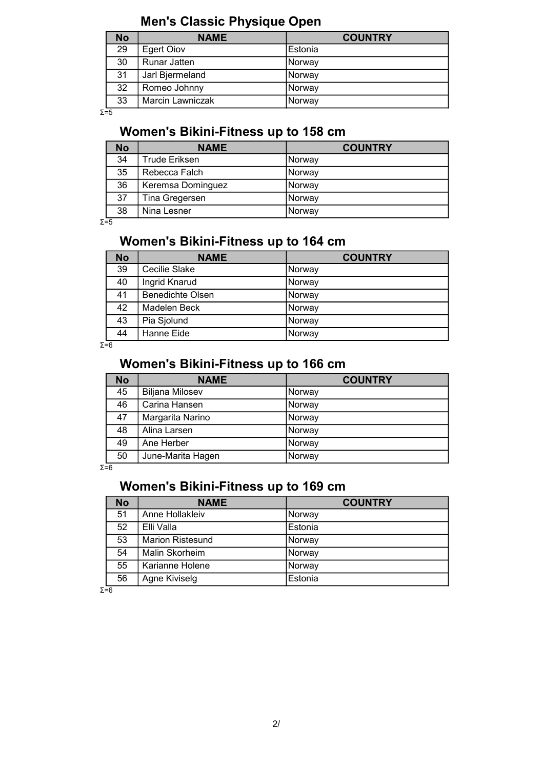# Men's Classic Physique Open

| <b>No</b> | <b>NAME</b>         | <b>COUNTRY</b> |
|-----------|---------------------|----------------|
| 29        | Egert Oiov          | Estonia        |
| 30        | <b>Runar Jatten</b> | Norway         |
| 31        | Jarl Bjermeland     | Norway         |
| 32        | Romeo Johnny        | Norway         |
| 33        | Marcin Lawniczak    | Norway         |

Σ=5

# Women's Bikini-Fitness up to 158 cm

| <b>No</b> | <b>NAME</b>          | <b>COUNTRY</b> |
|-----------|----------------------|----------------|
| 34        | <b>Trude Eriksen</b> | Norwav         |
| 35        | Rebecca Falch        | Norway         |
| 36        | Keremsa Dominguez    | Norway         |
| 37        | Tina Gregersen       | Norway         |
| 38        | Nina Lesner          | Norway         |

 $Σ=5$ 

# Women's Bikini-Fitness up to 164 cm

| <b>No</b> | <b>NAME</b>             | <b>COUNTRY</b> |
|-----------|-------------------------|----------------|
| 39        | Cecilie Slake           | Norway         |
| 40        | Ingrid Knarud           | Norway         |
| 41        | <b>Benedichte Olsen</b> | Norway         |
| 42        | Madelen Beck            | Norway         |
| 43        | Pia Sjolund             | Norway         |
| 44        | Hanne Eide              | <b>Norway</b>  |

 $Σ = 6$ 

#### Women's Bikini-Fitness up to 166 cm

| <b>No</b> | <b>NAME</b>            | <b>COUNTRY</b> |
|-----------|------------------------|----------------|
| 45        | <b>Biljana Milosev</b> | Norway         |
| 46        | Carina Hansen          | Norway         |
| 47        | Margarita Narino       | Norway         |
| 48        | Alina Larsen           | Norway         |
| 49        | Ane Herber             | Norway         |
| 50        | June-Marita Hagen      | Norway         |

 $Σ = 6$ 

#### Women's Bikini-Fitness up to 169 cm

| <b>No</b> | <b>NAME</b>             | <b>COUNTRY</b> |
|-----------|-------------------------|----------------|
| 51        | Anne Hollakleiv         | Norway         |
| 52        | Elli Valla              | Estonia        |
| 53        | <b>Marion Ristesund</b> | Norway         |
| 54        | Malin Skorheim          | Norway         |
| 55        | Karianne Holene         | Norway         |
| 56        | Agne Kiviselg           | Estonia        |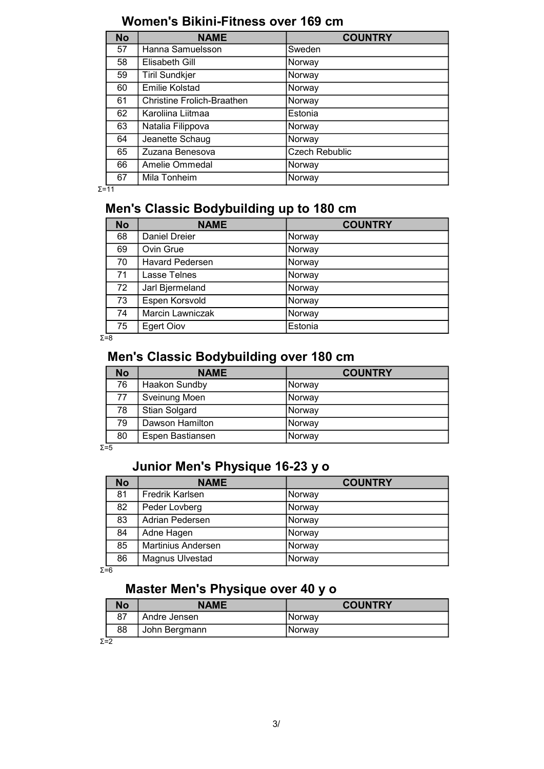| <b>No</b> | <b>NAME</b>                | <b>COUNTRY</b>        |
|-----------|----------------------------|-----------------------|
| 57        | Hanna Samuelsson           | Sweden                |
| 58        | Elisabeth Gill             | Norway                |
| 59        | <b>Tiril Sundkjer</b>      | Norway                |
| 60        | <b>Emilie Kolstad</b>      | Norway                |
| 61        | Christine Frolich-Braathen | Norway                |
| 62        | Karoliina Liitmaa          | Estonia               |
| 63        | Natalia Filippova          | Norway                |
| 64        | Jeanette Schaug            | Norway                |
| 65        | Zuzana Benesova            | <b>Czech Rebublic</b> |
| 66        | Amelie Ommedal             | Norway                |
| 67        | Mila Tonheim               | Norway                |

Σ=11

# Men's Classic Bodybuilding up to 180 cm

| <b>No</b> | <b>NAME</b>            | <b>COUNTRY</b> |
|-----------|------------------------|----------------|
| 68        | <b>Daniel Dreier</b>   | Norway         |
| 69        | Ovin Grue              | Norway         |
| 70        | <b>Havard Pedersen</b> | Norway         |
| 71        | Lasse Telnes           | Norway         |
| 72        | Jarl Bjermeland        | Norway         |
| 73        | Espen Korsvold         | Norway         |
| 74        | Marcin Lawniczak       | Norway         |
| 75        | <b>Egert Oiov</b>      | Estonia        |

 $\Sigma = 8$ 

#### Men's Classic Bodybuilding over 180 cm

| <b>No</b> | <b>NAME</b>          | <b>COUNTRY</b> |
|-----------|----------------------|----------------|
| 76        | <b>Haakon Sundby</b> | Norway         |
| 77        | Sveinung Moen        | Norway         |
| 78        | Stian Solgard        | Norway         |
| 79        | Dawson Hamilton      | Norway         |
| 80        | Espen Bastiansen     | Norway         |

 $Σ=5$ 

# Junior Men's Physique 16-23 y o

| <b>No</b> | <b>NAME</b>        | <b>COUNTRY</b> |
|-----------|--------------------|----------------|
| 81        | Fredrik Karlsen    | Norway         |
| 82        | Peder Lovberg      | Norway         |
| 83        | Adrian Pedersen    | Norway         |
| 84        | Adne Hagen         | Norway         |
| 85        | Martinius Andersen | Norway         |
| 86        | Magnus Ulvestad    | Norway         |

 $Σ = 6$ 

# Master Men's Physique over 40 y o

|         | <b>No</b> | <b>NAME</b>   | <b>COUNTRY</b> |
|---------|-----------|---------------|----------------|
|         | 87        | Andre Jensen  | Norway         |
|         | 88        | John Bergmann | INorwav        |
| $ \sim$ |           |               |                |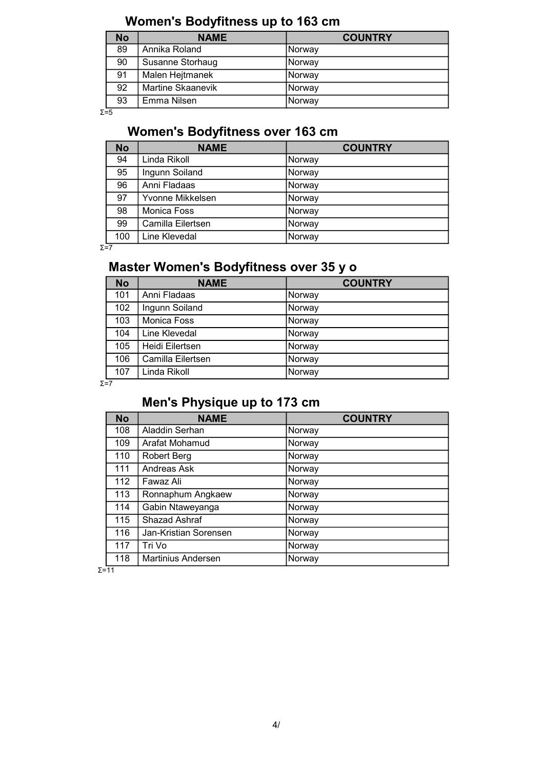# Women's Bodyfitness up to 163 cm

| <b>No</b> | <b>NAME</b>       | <b>COUNTRY</b> |
|-----------|-------------------|----------------|
| 89        | Annika Roland     | Norway         |
| 90        | Susanne Storhaug  | Norway         |
| 91        | Malen Hejtmanek   | Norway         |
| 92        | Martine Skaanevik | Norway         |
| 93        | Emma Nilsen       | Norway         |

Σ=5

# Women's Bodyfitness over 163 cm

| <b>No</b> | <b>NAME</b>       | <b>COUNTRY</b> |
|-----------|-------------------|----------------|
| 94        | Linda Rikoll      | Norway         |
| 95        | Ingunn Soiland    | Norway         |
| 96        | Anni Fladaas      | Norway         |
| 97        | Yvonne Mikkelsen  | Norway         |
| 98        | Monica Foss       | Norway         |
| 99        | Camilla Eilertsen | Norway         |
| 100       | Line Klevedal     | Norway         |

Σ=7

# Master Women's Bodyfitness over 35 y o

| <b>No</b> | <b>NAME</b>        | <b>COUNTRY</b> |
|-----------|--------------------|----------------|
| 101       | Anni Fladaas       | Norway         |
| 102       | Ingunn Soiland     | Norway         |
| 103       | <b>Monica Foss</b> | Norway         |
| 104       | Line Klevedal      | Norway         |
| 105       | Heidi Eilertsen    | Norway         |
| 106       | Camilla Eilertsen  | Norway         |
| 107       | Linda Rikoll       | Norway         |

Σ=7

# Men's Physique up to 173 cm

| <b>No</b> | <b>NAME</b>               | <b>COUNTRY</b> |
|-----------|---------------------------|----------------|
| 108       | Aladdin Serhan            | Norway         |
| 109       | Arafat Mohamud            | Norway         |
| 110       | <b>Robert Berg</b>        | Norway         |
| 111       | Andreas Ask               | Norway         |
| 112       | Fawaz Ali                 | Norway         |
| 113       | Ronnaphum Angkaew         | Norway         |
| 114       | Gabin Ntaweyanga          | Norway         |
| 115       | Shazad Ashraf             | Norway         |
| 116       | Jan-Kristian Sorensen     | Norway         |
| 117       | Tri Vo                    | Norway         |
| 118       | <b>Martinius Andersen</b> | Norway         |